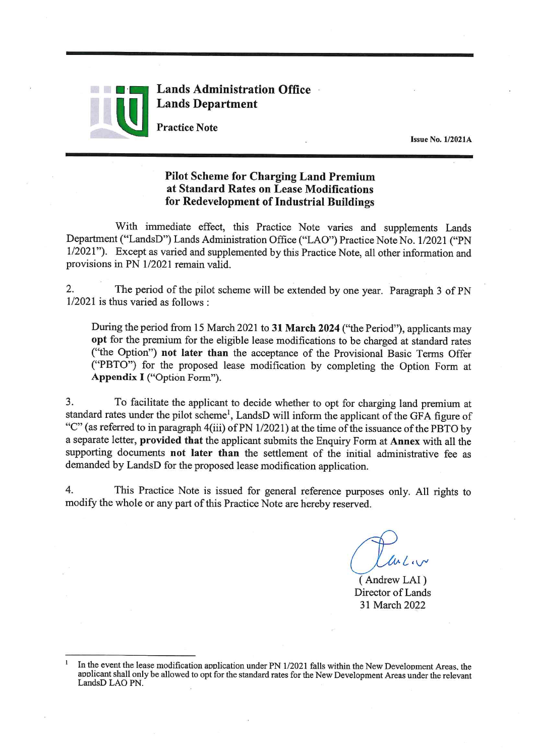

**Lands Administration Office Lands Department** 

**Practice Note** 

**Issue No. 1/2021A** 

## **Pilot Scheme for Charging Land Premium** at Standard Rates on Lease Modifications for Redevelopment of Industrial Buildings

With immediate effect, this Practice Note varies and supplements Lands Department ("LandsD") Lands Administration Office ("LAO") Practice Note No. 1/2021 ("PN 1/2021"). Except as varied and supplemented by this Practice Note, all other information and provisions in PN 1/2021 remain valid.

 $2.$ The period of the pilot scheme will be extended by one year. Paragraph 3 of PN  $1/2021$  is thus varied as follows :

During the period from 15 March 2021 to 31 March 2024 ("the Period"), applicants may opt for the premium for the eligible lease modifications to be charged at standard rates ("the Option") not later than the acceptance of the Provisional Basic Terms Offer ("PBTO") for the proposed lease modification by completing the Option Form at Appendix I ("Option Form").

 $3.$ To facilitate the applicant to decide whether to opt for charging land premium at standard rates under the pilot scheme<sup>1</sup>, LandsD will inform the applicant of the GFA figure of "C" (as referred to in paragraph 4(iii) of PN 1/2021) at the time of the issuance of the PBTO by a separate letter, provided that the applicant submits the Enquiry Form at Annex with all the supporting documents not later than the settlement of the initial administrative fee as demanded by LandsD for the proposed lease modification application.

 $4.$ This Practice Note is issued for general reference purposes only. All rights to modify the whole or any part of this Practice Note are hereby reserved.

(Andrew LAI) Director of Lands 31 March 2022

In the event the lease modification application under PN 1/2021 falls within the New Development Areas, the applicant shall only be allowed to opt for the standard rates for the New Development Areas under the relevant LandsD LAO PN.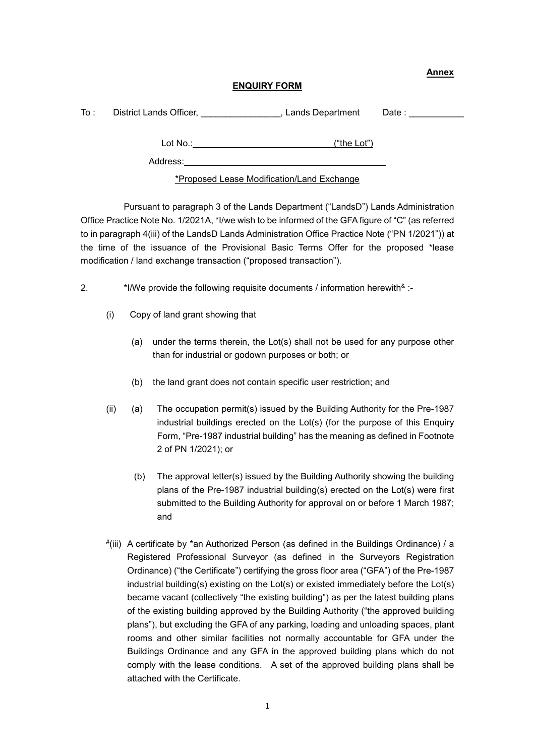**Annex**

## **ENQUIRY FORM**

| To : | District Lands Officer,                    | Lands Department | Date : ___________ |
|------|--------------------------------------------|------------------|--------------------|
|      | Lot $No.$ :                                | ("the Lot")      |                    |
|      | Address:                                   |                  |                    |
|      | *Proposed Lease Modification/Land Exchange |                  |                    |

Pursuant to paragraph 3 of the Lands Department ("LandsD") Lands Administration Office Practice Note No. 1/2021A, \*I/we wish to be informed of the GFA figure of "C" (as referred to in paragraph 4(iii) of the LandsD Lands Administration Office Practice Note ("PN 1/2021")) at the time of the issuance of the Provisional Basic Terms Offer for the proposed \*lease modification / land exchange transaction ("proposed transaction").

2. \*I/We provide the following requisite documents / information herewith \* :-

- (i) Copy of land grant showing that
	- (a) under the terms therein, the Lot(s) shall not be used for any purpose other than for industrial or godown purposes or both; or
	- (b) the land grant does not contain specific user restriction; and
- (ii) (a) The occupation permit(s) issued by the Building Authority for the Pre-1987 industrial buildings erected on the Lot(s) (for the purpose of this Enquiry Form, "Pre-1987 industrial building" has the meaning as defined in Footnote 2 of PN 1/2021); or
	- (b) The approval letter(s) issued by the Building Authority showing the building plans of the Pre-1987 industrial building(s) erected on the Lot(s) were first submitted to the Building Authority for approval on or before 1 March 1987; and
- #(iii) A certificate by \*an Authorized Person (as defined in the Buildings Ordinance) / a Registered Professional Surveyor (as defined in the Surveyors Registration Ordinance) ("the Certificate") certifying the gross floor area ("GFA") of the Pre-1987 industrial building(s) existing on the Lot(s) or existed immediately before the Lot(s) became vacant (collectively "the existing building") as per the latest building plans of the existing building approved by the Building Authority ("the approved building plans"), but excluding the GFA of any parking, loading and unloading spaces, plant rooms and other similar facilities not normally accountable for GFA under the Buildings Ordinance and any GFA in the approved building plans which do not comply with the lease conditions. A set of the approved building plans shall be attached with the Certificate.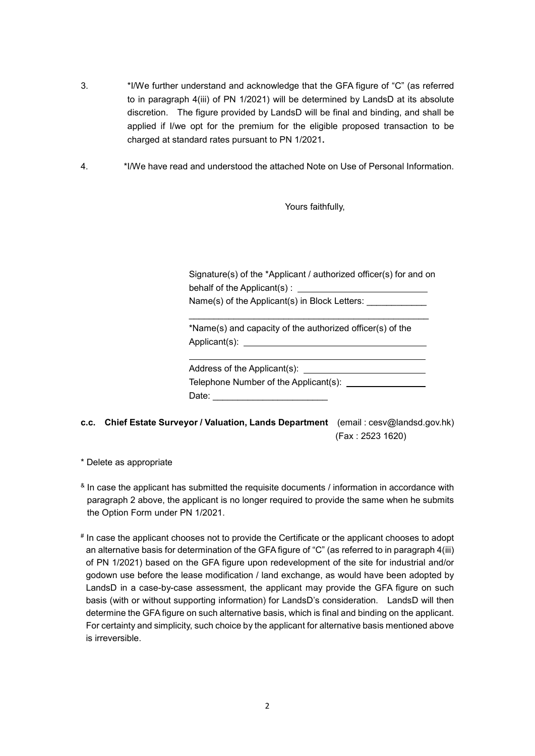- 3. \*I/We further understand and acknowledge that the GFA figure of "C" (as referred to in paragraph 4(iii) of PN 1/2021) will be determined by LandsD at its absolute discretion. The figure provided by LandsD will be final and binding, and shall be applied if I/we opt for the premium for the eligible proposed transaction to be charged at standard rates pursuant to PN 1/2021**.**
- 4. \*I/We have read and understood the attached Note on Use of Personal Information.

Yours faithfully,

Signature(s) of the \*Applicant / authorized officer(s) for and on behalf of the Applicant(s) :

\_\_\_\_\_\_\_\_\_\_\_\_\_\_\_\_\_\_\_\_\_\_\_\_\_\_\_\_\_\_\_\_\_\_\_\_\_\_\_\_\_\_\_\_\_\_\_\_

Name(s) of the Applicant(s) in Block Letters:

\*Name(s) and capacity of the authorized officer(s) of the Applicant(s):

Address of the Applicant(s): \_\_\_\_ Telephone Number of the Applicant(s): Date:

- **c.c. Chief Estate Surveyor / Valuation, Lands Department** (email : cesv@landsd.gov.hk) (Fax : 2523 1620)
- \* Delete as appropriate
- <sup>&</sup> In case the applicant has submitted the requisite documents / information in accordance with paragraph 2 above, the applicant is no longer required to provide the same when he submits the Option Form under PN 1/2021.
- # In case the applicant chooses not to provide the Certificate or the applicant chooses to adopt an alternative basis for determination of the GFA figure of "C" (as referred to in paragraph 4(iii) of PN 1/2021) based on the GFA figure upon redevelopment of the site for industrial and/or godown use before the lease modification / land exchange, as would have been adopted by LandsD in a case-by-case assessment, the applicant may provide the GFA figure on such basis (with or without supporting information) for LandsD's consideration. LandsD will then determine the GFA figure on such alternative basis, which is final and binding on the applicant. For certainty and simplicity, such choice by the applicant for alternative basis mentioned above is irreversible.